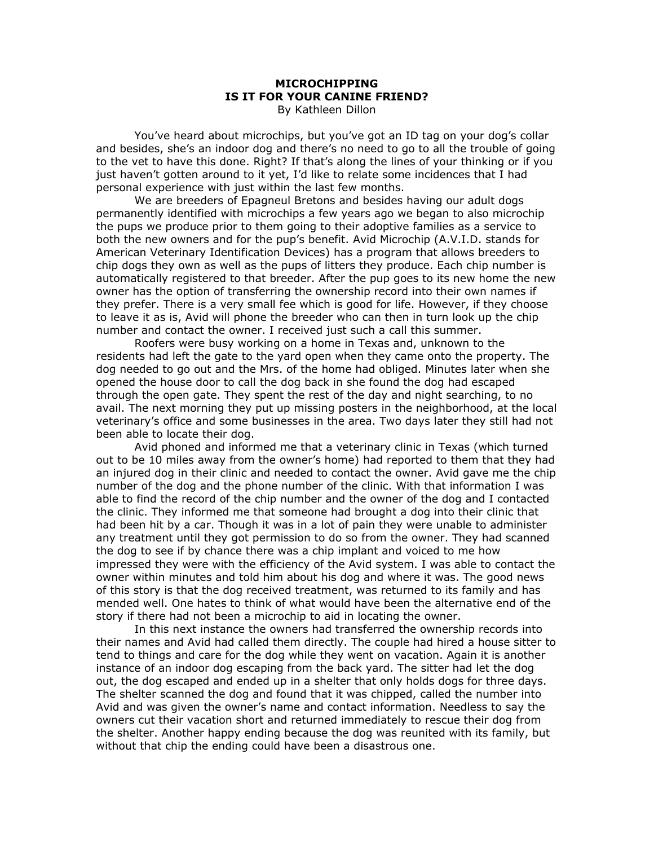## **MICROCHIPPING IS IT FOR YOUR CANINE FRIEND?**  By Kathleen Dillon

You've heard about microchips, but you've got an ID tag on your dog's collar and besides, she's an indoor dog and there's no need to go to all the trouble of going to the vet to have this done. Right? If that's along the lines of your thinking or if you just haven't gotten around to it yet, I'd like to relate some incidences that I had personal experience with just within the last few months.

 We are breeders of Epagneul Bretons and besides having our adult dogs permanently identified with microchips a few years ago we began to also microchip the pups we produce prior to them going to their adoptive families as a service to both the new owners and for the pup's benefit. Avid Microchip (A.V.I.D. stands for American Veterinary Identification Devices) has a program that allows breeders to chip dogs they own as well as the pups of litters they produce. Each chip number is automatically registered to that breeder. After the pup goes to its new home the new owner has the option of transferring the ownership record into their own names if they prefer. There is a very small fee which is good for life. However, if they choose to leave it as is, Avid will phone the breeder who can then in turn look up the chip number and contact the owner. I received just such a call this summer.

 Roofers were busy working on a home in Texas and, unknown to the residents had left the gate to the yard open when they came onto the property. The dog needed to go out and the Mrs. of the home had obliged. Minutes later when she opened the house door to call the dog back in she found the dog had escaped through the open gate. They spent the rest of the day and night searching, to no avail. The next morning they put up missing posters in the neighborhood, at the local veterinary's office and some businesses in the area. Two days later they still had not been able to locate their dog.

Avid phoned and informed me that a veterinary clinic in Texas (which turned out to be 10 miles away from the owner's home) had reported to them that they had an injured dog in their clinic and needed to contact the owner. Avid gave me the chip number of the dog and the phone number of the clinic. With that information I was able to find the record of the chip number and the owner of the dog and I contacted the clinic. They informed me that someone had brought a dog into their clinic that had been hit by a car. Though it was in a lot of pain they were unable to administer any treatment until they got permission to do so from the owner. They had scanned the dog to see if by chance there was a chip implant and voiced to me how impressed they were with the efficiency of the Avid system. I was able to contact the owner within minutes and told him about his dog and where it was. The good news of this story is that the dog received treatment, was returned to its family and has mended well. One hates to think of what would have been the alternative end of the story if there had not been a microchip to aid in locating the owner.

In this next instance the owners had transferred the ownership records into their names and Avid had called them directly. The couple had hired a house sitter to tend to things and care for the dog while they went on vacation. Again it is another instance of an indoor dog escaping from the back yard. The sitter had let the dog out, the dog escaped and ended up in a shelter that only holds dogs for three days. The shelter scanned the dog and found that it was chipped, called the number into Avid and was given the owner's name and contact information. Needless to say the owners cut their vacation short and returned immediately to rescue their dog from the shelter. Another happy ending because the dog was reunited with its family, but without that chip the ending could have been a disastrous one.